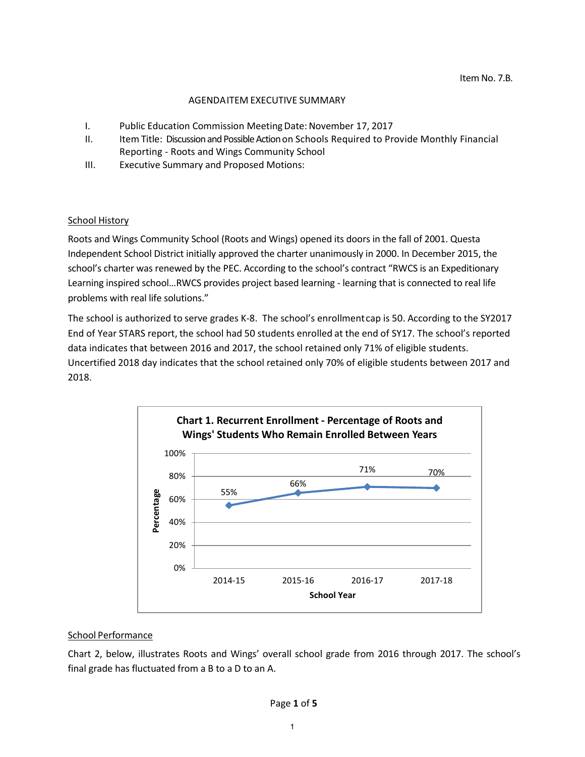#### AGENDAITEM EXECUTIVE SUMMARY

- I. Public Education Commission Meeting Date: November 17, 2017
- II. Item Title: Discussion and Possible Action on Schools Required to Provide Monthly Financial Reporting - Roots and Wings Community School
- III. Executive Summary and Proposed Motions:

## **School History**

Roots and Wings Community School (Roots and Wings) opened its doors in the fall of 2001. Questa Independent School District initially approved the charter unanimously in 2000. In December 2015, the school's charter was renewed by the PEC. According to the school's contract "RWCS is an Expeditionary Learning inspired school…RWCS provides project based learning - learning that is connected to real life problems with real life solutions."

The school is authorized to serve grades K-8. The school's enrollmentcap is 50. According to the SY2017 End of Year STARS report, the school had 50 students enrolled at the end of SY17. The school's reported data indicates that between 2016 and 2017, the school retained only 71% of eligible students. Uncertified 2018 day indicates that the school retained only 70% of eligible students between 2017 and 2018.



#### School Performance

Chart 2, below, illustrates Roots and Wings' overall school grade from 2016 through 2017. The school's final grade has fluctuated from a B to a D to an A.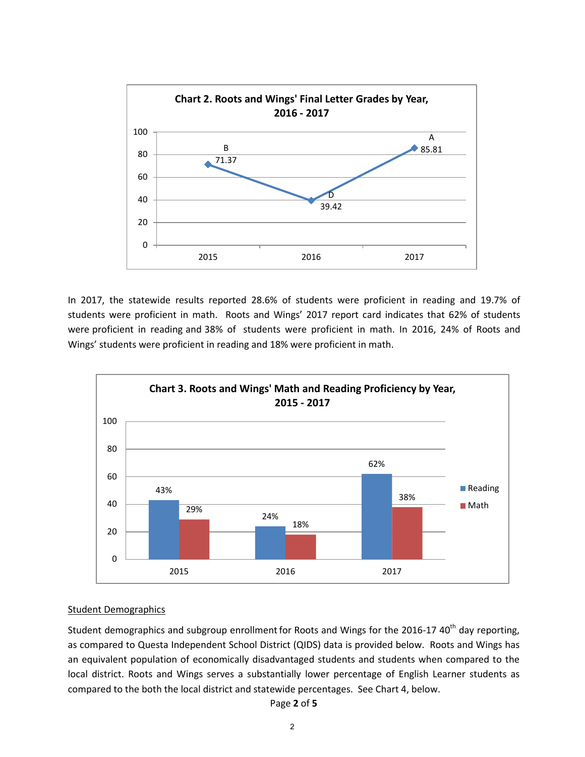

In 2017, the statewide results reported 28.6% of students were proficient in reading and 19.7% of students were proficient in math. Roots and Wings' 2017 report card indicates that 62% of students were proficient in reading and 38% of students were proficient in math. In 2016, 24% of Roots and Wings' students were proficient in reading and 18% were proficient in math.



#### Student Demographics

Student demographics and subgroup enrollment for Roots and Wings for the 2016-17 40<sup>th</sup> day reporting, as compared to Questa Independent School District (QIDS) data is provided below. Roots and Wings has an equivalent population of economically disadvantaged students and students when compared to the local district. Roots and Wings serves a substantially lower percentage of English Learner students as compared to the both the local district and statewide percentages. See Chart 4, below.

#### Page **2** of **5**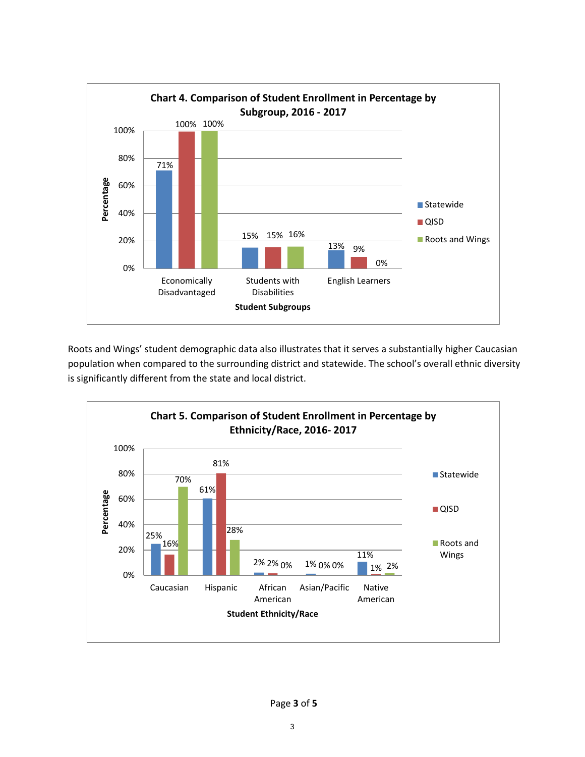

Roots and Wings' student demographic data also illustrates that it serves a substantially higher Caucasian population when compared to the surrounding district and statewide. The school's overall ethnic diversity is significantly different from the state and local district.

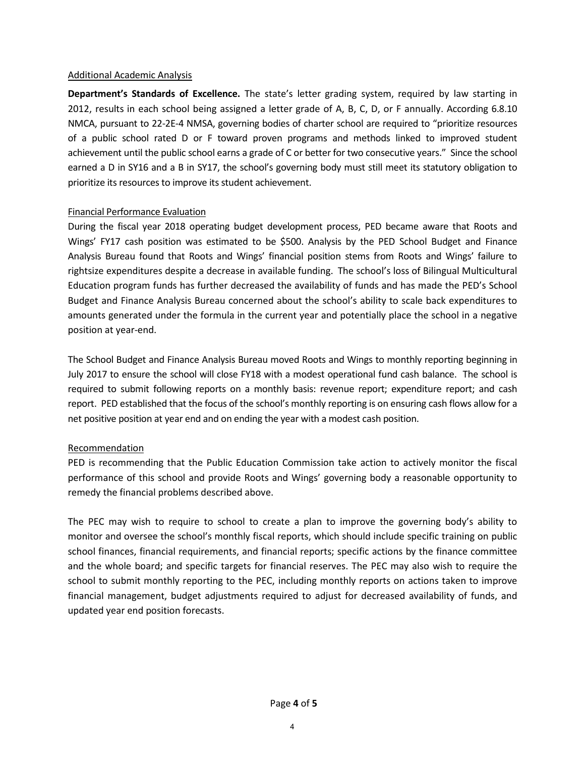#### Additional Academic Analysis

**Department's Standards of Excellence.** The state's letter grading system, required by law starting in 2012, results in each school being assigned a letter grade of A, B, C, D, or F annually. According 6.8.10 NMCA, pursuant to 22-2E-4 NMSA, governing bodies of charter school are required to "prioritize resources of a public school rated D or F toward proven programs and methods linked to improved student achievement until the public school earns a grade of C or better for two consecutive years." Since the school earned a D in SY16 and a B in SY17, the school's governing body must still meet its statutory obligation to prioritize its resources to improve its student achievement.

## Financial Performance Evaluation

During the fiscal year 2018 operating budget development process, PED became aware that Roots and Wings' FY17 cash position was estimated to be \$500. Analysis by the PED School Budget and Finance Analysis Bureau found that Roots and Wings' financial position stems from Roots and Wings' failure to rightsize expenditures despite a decrease in available funding. The school's loss of Bilingual Multicultural Education program funds has further decreased the availability of funds and has made the PED's School Budget and Finance Analysis Bureau concerned about the school's ability to scale back expenditures to amounts generated under the formula in the current year and potentially place the school in a negative position at year-end.

The School Budget and Finance Analysis Bureau moved Roots and Wings to monthly reporting beginning in July 2017 to ensure the school will close FY18 with a modest operational fund cash balance. The school is required to submit following reports on a monthly basis: revenue report; expenditure report; and cash report. PED established that the focus of the school's monthly reporting is on ensuring cash flows allow for a net positive position at year end and on ending the year with a modest cash position.

## Recommendation

PED is recommending that the Public Education Commission take action to actively monitor the fiscal performance of this school and provide Roots and Wings' governing body a reasonable opportunity to remedy the financial problems described above.

The PEC may wish to require to school to create a plan to improve the governing body's ability to monitor and oversee the school's monthly fiscal reports, which should include specific training on public school finances, financial requirements, and financial reports; specific actions by the finance committee and the whole board; and specific targets for financial reserves. The PEC may also wish to require the school to submit monthly reporting to the PEC, including monthly reports on actions taken to improve financial management, budget adjustments required to adjust for decreased availability of funds, and updated year end position forecasts.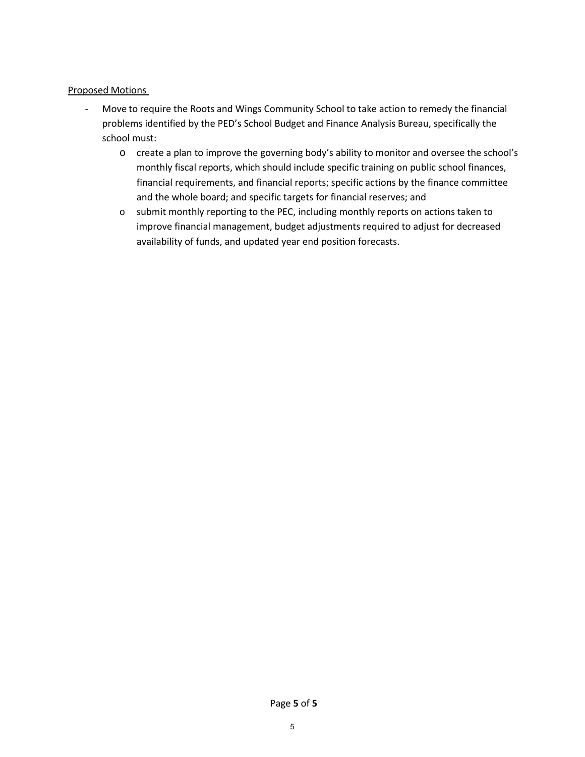# Proposed Motions

- Move to require the Roots and Wings Community School to take action to remedy the financial problems identified by the PED's School Budget and Finance Analysis Bureau, specifically the school must:
	- o create a plan to improve the governing body's ability to monitor and oversee the school's monthly fiscal reports, which should include specific training on public school finances, financial requirements, and financial reports; specific actions by the finance committee and the whole board; and specific targets for financial reserves; and
	- o submit monthly reporting to the PEC, including monthly reports on actions taken to improve financial management, budget adjustments required to adjust for decreased availability of funds, and updated year end position forecasts.